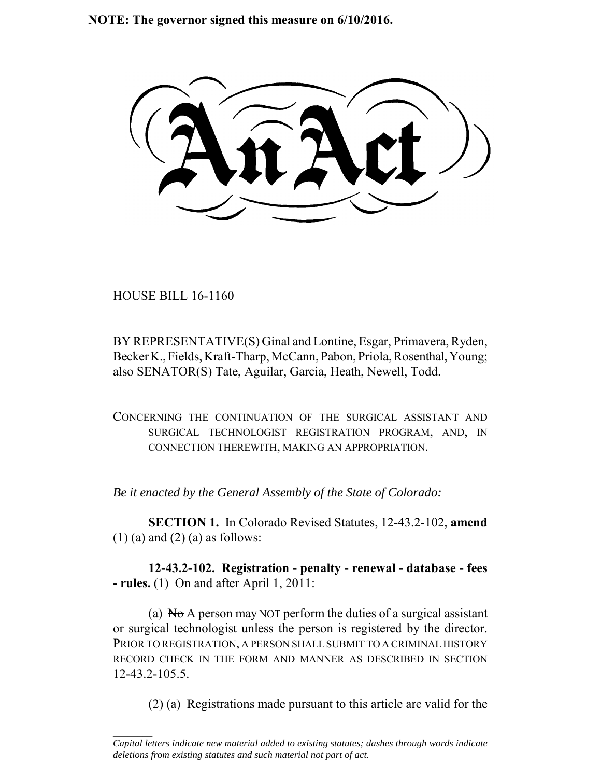**NOTE: The governor signed this measure on 6/10/2016.**

HOUSE BILL 16-1160

 $\frac{1}{2}$ 

BY REPRESENTATIVE(S) Ginal and Lontine, Esgar, Primavera, Ryden, Becker K., Fields, Kraft-Tharp, McCann, Pabon, Priola, Rosenthal, Young; also SENATOR(S) Tate, Aguilar, Garcia, Heath, Newell, Todd.

CONCERNING THE CONTINUATION OF THE SURGICAL ASSISTANT AND SURGICAL TECHNOLOGIST REGISTRATION PROGRAM, AND, IN CONNECTION THEREWITH, MAKING AN APPROPRIATION.

*Be it enacted by the General Assembly of the State of Colorado:*

**SECTION 1.** In Colorado Revised Statutes, 12-43.2-102, **amend**  $(1)$  (a) and  $(2)$  (a) as follows:

**12-43.2-102. Registration - penalty - renewal - database - fees - rules.** (1) On and after April 1, 2011:

(a)  $\overline{N\sigma}$  A person may NOT perform the duties of a surgical assistant or surgical technologist unless the person is registered by the director. PRIOR TO REGISTRATION, A PERSON SHALL SUBMIT TO A CRIMINAL HISTORY RECORD CHECK IN THE FORM AND MANNER AS DESCRIBED IN SECTION 12-43.2-105.5.

(2) (a) Registrations made pursuant to this article are valid for the

*Capital letters indicate new material added to existing statutes; dashes through words indicate deletions from existing statutes and such material not part of act.*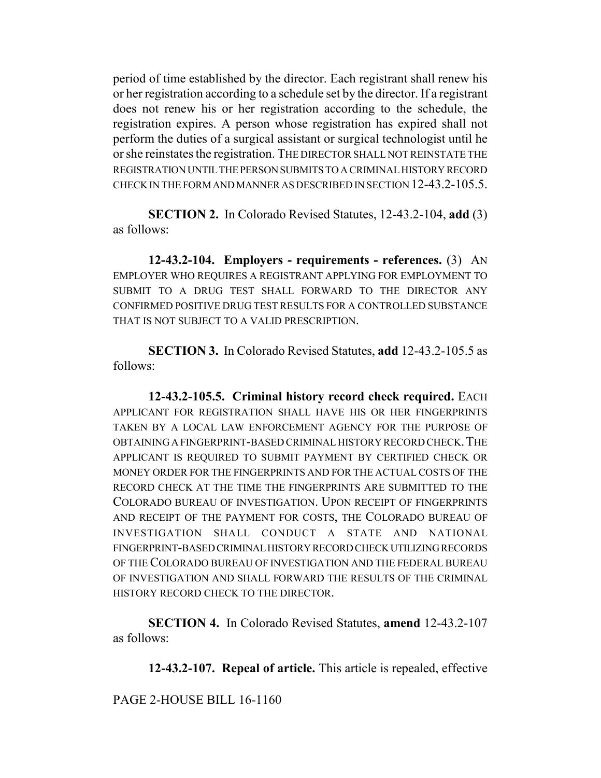period of time established by the director. Each registrant shall renew his or her registration according to a schedule set by the director. If a registrant does not renew his or her registration according to the schedule, the registration expires. A person whose registration has expired shall not perform the duties of a surgical assistant or surgical technologist until he or she reinstates the registration. THE DIRECTOR SHALL NOT REINSTATE THE REGISTRATION UNTIL THE PERSON SUBMITS TO A CRIMINAL HISTORY RECORD CHECK IN THE FORM AND MANNER AS DESCRIBED IN SECTION 12-43.2-105.5.

**SECTION 2.** In Colorado Revised Statutes, 12-43.2-104, **add** (3) as follows:

**12-43.2-104. Employers - requirements - references.** (3) AN EMPLOYER WHO REQUIRES A REGISTRANT APPLYING FOR EMPLOYMENT TO SUBMIT TO A DRUG TEST SHALL FORWARD TO THE DIRECTOR ANY CONFIRMED POSITIVE DRUG TEST RESULTS FOR A CONTROLLED SUBSTANCE THAT IS NOT SUBJECT TO A VALID PRESCRIPTION.

**SECTION 3.** In Colorado Revised Statutes, **add** 12-43.2-105.5 as follows:

**12-43.2-105.5. Criminal history record check required.** EACH APPLICANT FOR REGISTRATION SHALL HAVE HIS OR HER FINGERPRINTS TAKEN BY A LOCAL LAW ENFORCEMENT AGENCY FOR THE PURPOSE OF OBTAINING A FINGERPRINT-BASED CRIMINAL HISTORY RECORD CHECK.THE APPLICANT IS REQUIRED TO SUBMIT PAYMENT BY CERTIFIED CHECK OR MONEY ORDER FOR THE FINGERPRINTS AND FOR THE ACTUAL COSTS OF THE RECORD CHECK AT THE TIME THE FINGERPRINTS ARE SUBMITTED TO THE COLORADO BUREAU OF INVESTIGATION. UPON RECEIPT OF FINGERPRINTS AND RECEIPT OF THE PAYMENT FOR COSTS, THE COLORADO BUREAU OF INVESTIGATION SHALL CONDUCT A STATE AND NATIONAL FINGERPRINT-BASED CRIMINAL HISTORY RECORD CHECK UTILIZING RECORDS OF THE COLORADO BUREAU OF INVESTIGATION AND THE FEDERAL BUREAU OF INVESTIGATION AND SHALL FORWARD THE RESULTS OF THE CRIMINAL HISTORY RECORD CHECK TO THE DIRECTOR.

**SECTION 4.** In Colorado Revised Statutes, **amend** 12-43.2-107 as follows:

**12-43.2-107. Repeal of article.** This article is repealed, effective

PAGE 2-HOUSE BILL 16-1160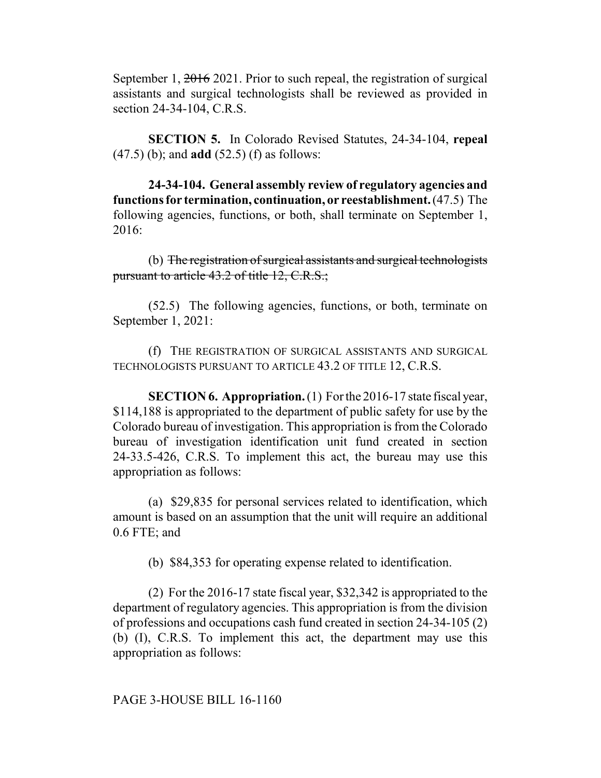September 1, 2016 2021. Prior to such repeal, the registration of surgical assistants and surgical technologists shall be reviewed as provided in section 24-34-104, C.R.S.

**SECTION 5.** In Colorado Revised Statutes, 24-34-104, **repeal** (47.5) (b); and **add** (52.5) (f) as follows:

**24-34-104. General assembly review of regulatory agencies and functions for termination, continuation, or reestablishment.** (47.5) The following agencies, functions, or both, shall terminate on September 1, 2016:

(b) The registration of surgical assistants and surgical technologists pursuant to article 43.2 of title 12, C.R.S.;

(52.5) The following agencies, functions, or both, terminate on September 1, 2021:

(f) THE REGISTRATION OF SURGICAL ASSISTANTS AND SURGICAL TECHNOLOGISTS PURSUANT TO ARTICLE 43.2 OF TITLE 12, C.R.S.

**SECTION 6. Appropriation.** (1) For the 2016-17 state fiscal year, \$114,188 is appropriated to the department of public safety for use by the Colorado bureau of investigation. This appropriation is from the Colorado bureau of investigation identification unit fund created in section 24-33.5-426, C.R.S. To implement this act, the bureau may use this appropriation as follows:

(a) \$29,835 for personal services related to identification, which amount is based on an assumption that the unit will require an additional 0.6 FTE; and

(b) \$84,353 for operating expense related to identification.

(2) For the 2016-17 state fiscal year, \$32,342 is appropriated to the department of regulatory agencies. This appropriation is from the division of professions and occupations cash fund created in section 24-34-105 (2) (b) (I), C.R.S. To implement this act, the department may use this appropriation as follows:

PAGE 3-HOUSE BILL 16-1160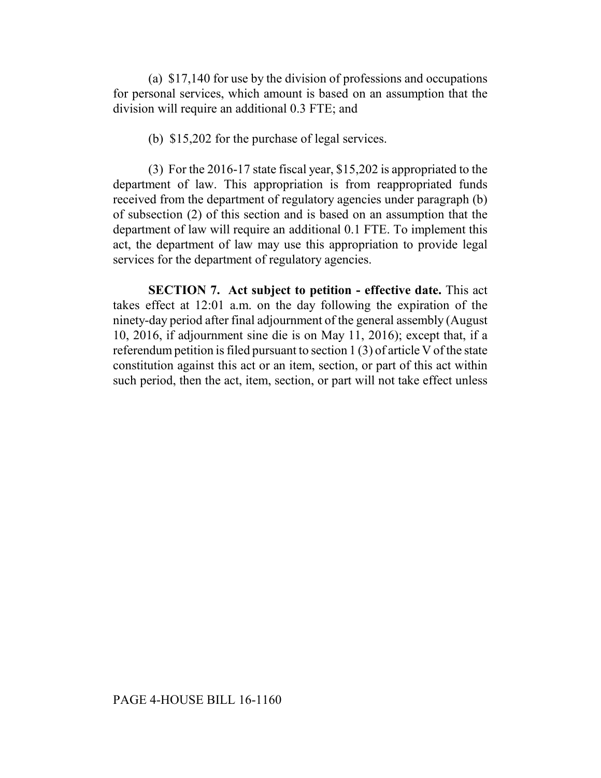(a) \$17,140 for use by the division of professions and occupations for personal services, which amount is based on an assumption that the division will require an additional 0.3 FTE; and

(b) \$15,202 for the purchase of legal services.

(3) For the 2016-17 state fiscal year, \$15,202 is appropriated to the department of law. This appropriation is from reappropriated funds received from the department of regulatory agencies under paragraph (b) of subsection (2) of this section and is based on an assumption that the department of law will require an additional 0.1 FTE. To implement this act, the department of law may use this appropriation to provide legal services for the department of regulatory agencies.

**SECTION 7. Act subject to petition - effective date.** This act takes effect at 12:01 a.m. on the day following the expiration of the ninety-day period after final adjournment of the general assembly (August 10, 2016, if adjournment sine die is on May 11, 2016); except that, if a referendum petition is filed pursuant to section 1 (3) of article V of the state constitution against this act or an item, section, or part of this act within such period, then the act, item, section, or part will not take effect unless